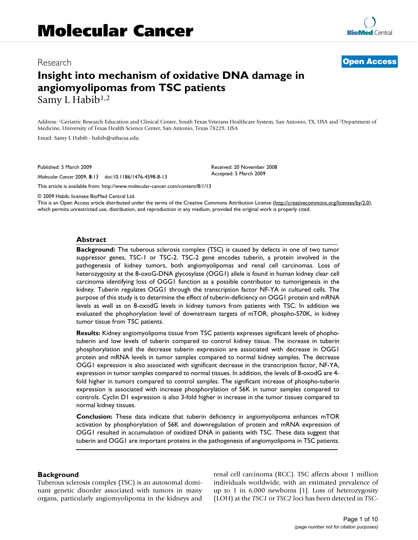# Research **[Open Access](http://www.biomedcentral.com/info/about/charter/)**

# **Insight into mechanism of oxidative DNA damage in angiomyolipomas from TSC patients** Samy L Habib<sup>1,2</sup>

Address: 1Geriatric Research Education and Clinical Center, South Texas Veterans Healthcare System, San Antonio, TX, USA and 2Department of Medicine, University of Texas Health Science Center, San Antonio, Texas 78229, USA

> Received: 20 November 2008 Accepted: 5 March 2009

Email: Samy L Habib - habib@uthscsa.ed[u](http://www.ncbi.nlm.nih.gov/entrez/query.fcgi?cmd=Retrieve&db=PubMed&dopt=Abstract&list_uids=19265534)

Published: 5 March 2009

*Molecular Cancer* 2009, **8**:13 doi:10.1186/1476-4598-8-13

[This article is available from: http://www.molecular-cancer.com/content/8/1/13](http://www.molecular-cancer.com/content/8/1/13)

© 2009 Habib; licensee BioMed Central Ltd.

This is an Open Access article distributed under the terms of the Creative Commons Attribution License [\(http://creativecommons.org/licenses/by/2.0\)](http://creativecommons.org/licenses/by/2.0), which permits unrestricted use, distribution, and reproduction in any medium, provided the original work is properly cited.

#### **Abstract**

**Background:** The tuberous sclerosis complex (TSC) is caused by defects in one of two tumor suppressor genes, TSC-1 or TSC-2. TSC-2 gene encodes tuberin, a protein involved in the pathogenesis of kidney tumors, both angiomyolipomas and renal cell carcinomas. Loss of heterozygosity at the 8-oxoG-DNA glycosylase (OGG1) allele is found in human kidney clear cell carcinoma identifying loss of OGG1 function as a possible contributor to tumorigenesis in the kidney. Tuberin regulates OGG1 through the transcription factor NF-YA in cultured cells. The purpose of this study is to determine the effect of tuberin-deficiency on OGG1 protein and mRNA levels as well as on 8-oxodG levels in kidney tumors from patients with TSC. In addition we evaluated the phophorylation level of downstream targets of mTOR, phospho-S70K, in kidney tumor tissue from TSC patients.

**Results:** Kidney angiomyolipoma tissue from TSC patients expresses significant levels of phophotuberin and low levels of tuberin compared to control kidney tissue. The increase in tuberin phosphorylation and the decrease tuberin expression are associated with decrease in OGG1 protein and mRNA levels in tumor samples compared to normal kidney samples. The decrease OGG1 expression is also associated with significant decrease in the transcription factor, NF-YA, expression in tumor samples compared to normal tissues. In addition, the levels of 8-oxodG are 4 fold higher in tumors compared to control samples. The significant increase of phospho-tuberin expression is associated with increase phosphorylation of S6K in tumor samples compared to controls. Cyclin D1 expression is also 3-fold higher in increase in the tumor tissues compared to normal kidney tissues.

**Conclusion:** These data indicate that tuberin deficiency in angiomyolipoma enhances mTOR activation by phosphorylation of S6K and downregulation of protein and mRNA expression of OGG1 resulted in accumulation of oxidized DNA in patients with TSC. These data suggest that tuberin and OGG1 are important proteins in the pathogenesis of angiomyolipoma in TSC patients.

#### **Background**

Tuberous sclerosis complex (TSC) is an autosomal dominant genetic disorder associated with tumors in many organs, particularly angiomyolipoma in the kidneys and renal cell carcinoma (RCC). TSC affects about 1 million individuals worldwide, with an estimated prevalence of up to 1 in 6,000 newborns [1]. Loss of heterozygosity (LOH) at the *TSC1* or *TSC2* loci has been detected in *TSC*-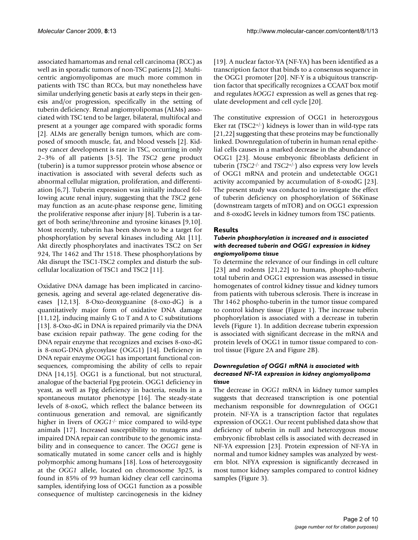associated hamartomas and renal cell carcinoma (RCC) as well as in sporadic tumors of non-TSC patients [2]. Multicentric angiomyolipomas are much more common in patients with TSC than RCCs, but may nonetheless have similar underlying genetic basis at early steps in their genesis and/or progression, specifically in the setting of tuberin deficiency. Renal angiomyolipomas (ALMs) associated with TSC tend to be larger, bilateral, multifocal and present at a younger age compared with sporadic forms [2]. ALMs are generally benign tumors, which are composed of smooth muscle, fat, and blood vessels [2]. Kidney cancer development is rare in TSC, occurring in only 2–3% of all patients [3-5]. The *TSC2* gene product (tuberin) is a tumor suppressor protein whose absence or inactivation is associated with several defects such as abnormal cellular migration, proliferation, and differentiation [6,7]. Tuberin expression was initially induced following acute renal injury, suggesting that the *TSC2* gene may function as an acute-phase response gene, limiting the proliferative response after injury [8]. Tuberin is a target of both serine/threonine and tyrosine kinases [9,10]. Most recently, tuberin has been shown to be a target for phosphorylation by several kinases including Akt [11]. Akt directly phosphorylates and inactivates TSC2 on Ser 924, Thr 1462 and Thr 1518. These phosphorylations by Akt disrupt the TSC1-TSC2 complex and disturb the subcellular localization of TSC1 and TSC2 [11].

Oxidative DNA damage has been implicated in carcinogenesis, ageing and several age-related degenerative diseases [12,13]. 8-Oxo-deoxyguanine (8-oxo-dG) is a quantitatively major form of oxidative DNA damage [11,12], inducing mainly G to T and A to C substitutions [13]. 8-Oxo-dG in DNA is repaired primarily via the DNA base excision repair pathway. The gene coding for the DNA repair enzyme that recognizes and excises 8-oxo-dG is 8-oxoG-DNA glycosylase (OGG1) [14]. Deficiency in DNA repair enzyme OGG1 has important functional consequences, compromising the ability of cells to repair DNA [14,15]. OGG1 is a functional, but not structural, analogue of the bacterial Fpg protein. OGG1 deficiency in yeast, as well as Fpg deficiency in bacteria, results in a spontaneous mutator phenotype [16]. The steady-state levels of 8-oxoG, which reflect the balance between its continuous generation and removal, are significantly higher in livers of *OGG1*-/- mice compared to wild-type animals [17]. Increased susceptibility to mutagens and impaired DNA repair can contribute to the genomic instability and in consequence to cancer. The *OGG1* gene is somatically mutated in some cancer cells and is highly polymorphic among humans [18]. Loss of heterozygosity at the *OGG1* allele, located on chromosome 3p25, is found in 85% of 99 human kidney clear cell carcinoma samples, identifying loss of OGG1 function as a possible consequence of multistep carcinogenesis in the kidney [19]. A nuclear factor-YA (NF-YA) has been identified as a transcription factor that binds to a consensus sequence in the OGG1 promoter [20]. NF-Y is a ubiquitous transcription factor that specifically recognizes a CCAAT box motif and regulates *hOGG1* expression as well as genes that regulate development and cell cycle [20].

The constitutive expression of OGG1 in heterozygous Eker rat  $(TSC2^{+/})$  kidneys is lower than in wild-type rats [21,22] suggesting that these proteins may be functionally linked. Downregulation of tuberin in human renal epithelial cells causes in a marked decrease in the abundance of OGG1 [23]. Mouse embryonic fibroblasts deficient in tuberin (*TSC2*-/- and *TSC2*+/-) also express very low levels of OGG1 mRNA and protein and undetectable OGG1 activity accompanied by accumulation of 8-oxodG [23]. The present study was conducted to investigate the effect of tuberin deficiency on phosphorylation of S6Kinase (downstream targets of mTOR) and on OGG1 expression and 8-oxodG levels in kidney tumors from TSC patients.

# **Results**

# *Tuberin phosphorylation is increased and is associated with decreased tuberin and OGG1 expression in kidney angiomyolipoma tissue*

To determine the relevance of our findings in cell culture [23] and rodents [21,22] to humans, phopho-tuberin, total tuberin and OGG1 expression was assessed in tissue homogenates of control kidney tissue and kidney tumors from patients with tuberous sclerosis. There is increase in Thr 1462 phospho-tuberin in the tumor tissue compared to control kidney tissue (Figure 1). The increase tuberin phophorylation is associated with a decrease in tuberin levels (Figure 1). In addition decrease tuberin expression is associated with significant decrease in the mRNA and protein levels of OGG1 in tumor tissue compared to control tissue (Figure 2A and Figure 2B).

## *Downregulation of OGG1 mRNA is associated with decreased NF-YA expression in kidney angiomyolipoma tissue*

The decrease in *OGG1* mRNA in kidney tumor samples suggests that decreased transcription is one potential mechanism responsible for downregulation of OGG1 protein. NF-YA is a transcription factor that regulates expression of OGG1. Our recent published data show that deficiency of tuberin in null and heterozygous mouse embryonic fibroblast cells is associated with decreased in NF-YA expression [23]. Protein expression of NF-YA in normal and tumor kidney samples was analyzed by western blot. NFYA expression is significantly decreased in most tumor kidney samples compared to control kidney samples (Figure 3).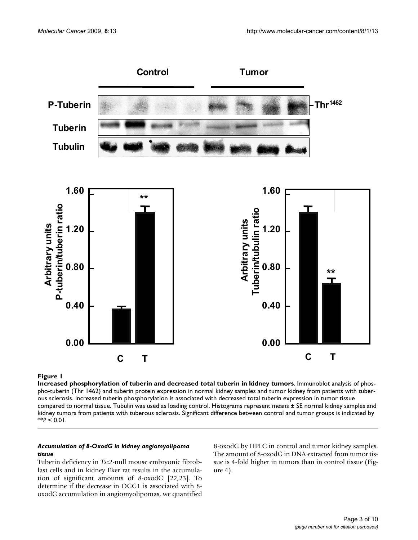

# Increased phosphorylation of tuberin and **Figure 1** decreased total tuberin in kidney tumors

**Increased phosphorylation of tuberin and decreased total tuberin in kidney tumors**. Immunoblot analysis of phospho-tuberin (Thr 1462) and tuberin protein expression in normal kidney samples and tumor kidney from patients with tuberous sclerosis. Increased tuberin phosphorylation is associated with decreased total tuberin expression in tumor tissue compared to normal tissue. Tubulin was used as loading control. Histograms represent means ± SE normal kidney samples and kidney tumors from patients with tuberous sclerosis. Significant difference between control and tumor groups is indicated by  $*$ *P* < 0.01.

#### *Accumulation of 8-OxodG in kidney angiomyolipoma tissue*

Tuberin deficiency in *Tsc2*-null mouse embryonic fibroblast cells and in kidney Eker rat results in the accumulation of significant amounts of 8-oxodG [22,23]. To determine if the decrease in OGG1 is associated with 8 oxodG accumulation in angiomyolipomas, we quantified 8-oxodG by HPLC in control and tumor kidney samples. The amount of 8-oxodG in DNA extracted from tumor tissue is 4-fold higher in tumors than in control tissue (Figure 4).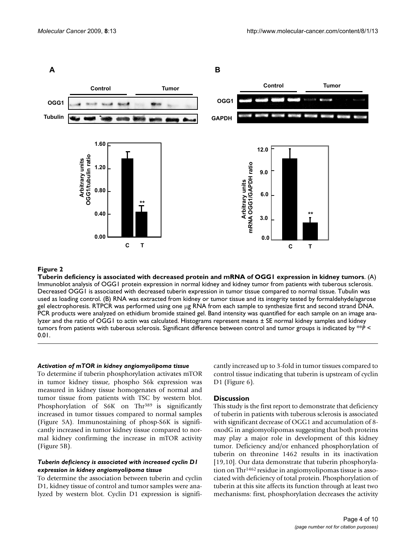

#### Tuberin deficiency is associated with decreased protein and mRNA of OGG1 expression in kidney tumors **Figure 2**

**Tuberin deficiency is associated with decreased protein and mRNA of OGG1 expression in kidney tumors**. (A) Immunoblot analysis of OGG1 protein expression in normal kidney and kidney tumor from patients with tuberous sclerosis. Decreased OGG1 is associated with decreased tuberin expression in tumor tissue compared to normal tissue. Tubulin was used as loading control. (B) RNA was extracted from kidney or tumor tissue and its integrity tested by formaldehyde/agarose gel electrophoresis. RTPCR was performed using one μg RNA from each sample to synthesize first and second strand DNA. PCR products were analyzed on ethidium bromide stained gel. Band intensity was quantified for each sample on an image analyzer and the ratio of OGG1 to actin was calculated. Histograms represent means ± SE normal kidney samples and kidney tumors from patients with tuberous sclerosis. Significant difference between control and tumor groups is indicated by \*\**P* < 0.01.

#### *Activation of mTOR in kidney angiomyolipoma tissue*

To determine if tuberin phosphorylation activates mTOR in tumor kidney tissue, phospho S6k expression was measured in kidney tissue homogenates of normal and tumor tissue from patients with TSC by western blot. Phosphorylation of S6K on Thr<sup>389</sup> is significantly increased in tumor tissues compared to normal samples (Figure 5A). Immunostaining of phosp-S6K is significantly increased in tumor kidney tissue compared to normal kidney confirming the increase in mTOR activity (Figure 5B).

#### *Tuberin deficiency is associated with increased cyclin D1 expression in kidney angiomyolipoma tissue*

To determine the association between tuberin and cyclin D1, kidney tissue of control and tumor samples were analyzed by western blot. Cyclin D1 expression is significantly increased up to 3-fold in tumor tissues compared to control tissue indicating that tuberin is upstream of cyclin D1 (Figure 6).

### **Discussion**

This study is the first report to demonstrate that deficiency of tuberin in patients with tuberous sclerosis is associated with significant decrease of OGG1 and accumulation of 8 oxodG in angiomyolipomas suggesting that both proteins may play a major role in development of this kidney tumor. Deficiency and/or enhanced phosphorylation of tuberin on threonine 1462 results in its inactivation [19,10]. Our data demonstrate that tuberin phosphorylation on Thr1462 residue in angiomyolipomas tissue is associated with deficiency of total protein. Phosphorylation of tuberin at this site affects its function through at least two mechanisms: first, phosphorylation decreases the activity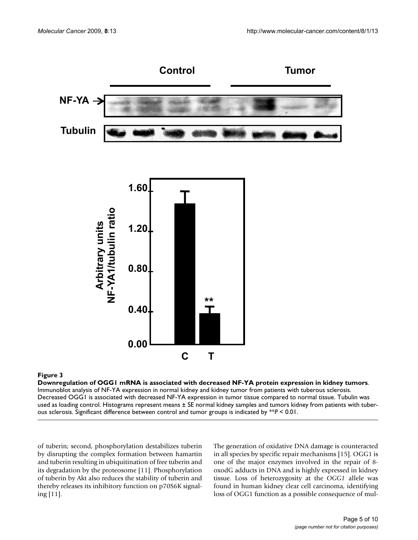

# Downregulation of OGG1 mRNA is associated with **Figure 3** decreased NF-YA protein expression in kidney tumors

**Downregulation of OGG1 mRNA is associated with decreased NF-YA protein expression in kidney tumors**. Immunoblot analysis of NF-YA expression in normal kidney and kidney tumor from patients with tuberous sclerosis. Decreased OGG1 is associated with decreased NF-YA expression in tumor tissue compared to normal tissue. Tubulin was used as loading control. Histograms represent means ± SE normal kidney samples and tumors kidney from patients with tuberous sclerosis. Significant difference between control and tumor groups is indicated by \*\**P* < 0.01.

of tuberin; second, phosphorylation destabilizes tuberin by disrupting the complex formation between hamartin and tuberin resulting in ubiquitination of free tuberin and its degradation by the proteosome [11]. Phosphorylation of tuberin by Akt also reduces the stability of tuberin and thereby releases its inhibitory function on p70S6K signaling [11].

The generation of oxidative DNA damage is counteracted in all species by specific repair mechanisms [15]. OGG1 is one of the major enzymes involved in the repair of 8 oxodG adducts in DNA and is highly expressed in kidney tissue. Loss of heterozygosity at the *OGG1* allele was found in human kidney clear cell carcinoma, identifying loss of OGG1 function as a possible consequence of mul-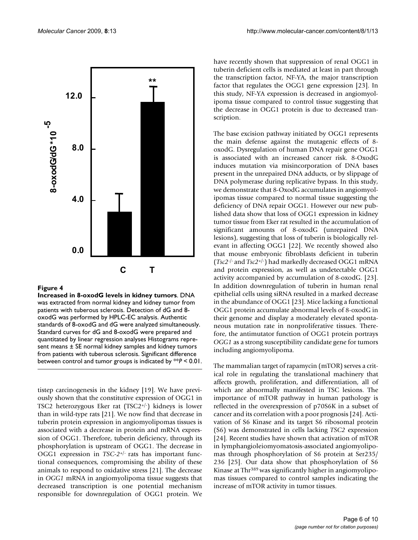

#### **Figure 4**

**Increased in 8-oxodG levels in kidney tumors**. DNA was extracted from normal kidney and kidney tumor from patients with tuberous sclerosis. Detection of dG and 8 oxodG was performed by HPLC-EC analysis. Authentic standards of 8-oxodG and dG were analyzed simultaneously. Standard curves for dG and 8-oxodG were prepared and quantitated by linear regression analyses Histograms represent means ± SE normal kidney samples and kidney tumors from patients with tuberous sclerosis. Significant difference between control and tumor groups is indicated by \*\**P* < 0.01.

tistep carcinogenesis in the kidney [19]. We have previously shown that the constitutive expression of OGG1 in TSC2 heterozygous Eker rat (TSC2+/-) kidneys is lower than in wild-type rats [21]. We now find that decrease in tuberin protein expression in angiomyolipomas tissues is associated with a decrease in protein and mRNA expression of OGG1. Therefore, tuberin deficiency, through its phosphorylation is upstream of OGG1. The decrease in OGG1 expression in *TSC-2*+/- rats has important functional consequences, compromising the ability of these animals to respond to oxidative stress [21]. The decrease in *OGG1* mRNA in angiomyolipoma tissue suggests that decreased transcription is one potential mechanism responsible for downregulation of OGG1 protein. We have recently shown that suppression of renal OGG1 in tuberin deficient cells is mediated at least in part through the transcription factor, NF-YA, the major transcription factor that regulates the OGG1 gene expression [23]. In this study, NF-YA expression is decreased in angiomyolipoma tissue compared to control tissue suggesting that the decrease in OGG1 protein is due to decreased transcription.

The base excision pathway initiated by OGG1 represents the main defense against the mutagenic effects of 8 oxodG. Dysregulation of human DNA repair gene OGG1 is associated with an increased cancer risk. 8-OxodG induces mutation via misincorporation of DNA bases present in the unrepaired DNA adducts, or by slippage of DNA polymerase during replicative bypass. In this study, we demonstrate that 8-OxodG accumulates in angiomyolipomas tissue compared to normal tissue suggesting the deficiency of DNA repair OGG1. However our new published data show that loss of OGG1 expression in kidney tumor tissue from Eker rat resulted in the accumulation of significant amounts of 8-oxodG (unrepaired DNA lesions), suggesting that loss of tuberin is biologically relevant in affecting OGG1 [22]. We recently showed also that mouse embryonic fibroblasts deficient in tuberin (*Tsc2*-/- and *Tsc2*+/-) had markedly decreased OGG1 mRNA and protein expression, as well as undetectable OGG1 activity accompanied by accumulation of 8-oxodG. [23]. In addition downregulation of tuberin in human renal epithelial cells using siRNA resulted in a marked decrease in the abundance of OGG1 [23]. Mice lacking a functional OGG1 protein accumulate abnormal levels of 8-oxodG in their genome and display a moderately elevated spontaneous mutation rate in nonproliferative tissues. Therefore, the antimutator function of OGG1 protein portrays *OGG1* as a strong susceptibility candidate gene for tumors including angiomyolipoma.

The mammalian target of rapamycin (mTOR) serves a critical role in regulating the translational machinery that affects growth, proliferation, and differentiation, all of which are abnormally manifested in TSC lesions. The importance of mTOR pathway in human pathology is reflected in the overexpression of p70S6K in a subset of cancer and its correlation with a poor prognosis [24]. Activation of S6 Kinase and its target S6 ribosomal protein (S6) was demonstrated in cells lacking *TSC2* expression [24]. Recent studies have shown that activation of mTOR in lymphangioleiomyomatosis-associated angiomyolipomas through phosphorylation of S6 protein at Ser235/ 236 [25]. Our data show that phosphorylation of S6 Kinase at Thr389 was significantly higher in angiomyolipomas tissues compared to control samples indicating the increase of mTOR activity in tumor tissues.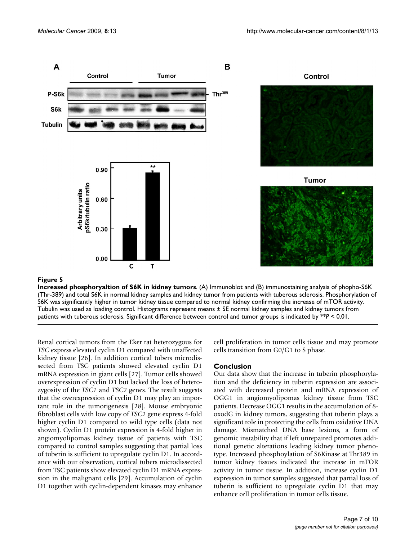

#### **Figure 5**

**Increased phosphoryaltion of S6K in kidney tumors**. (A) Immunoblot and (B) immunostaining analysis of phopho-S6K (Thr-389) and total S6K in normal kidney samples and kidney tumor from patients with tuberous sclerosis. Phosphorylation of S6K was significantly higher in tumor kidney tissue compared to normal kidney confirming the increase of mTOR activity. Tubulin was used as loading control. Histograms represent means ± SE normal kidney samples and kidney tumors from patients with tuberous sclerosis. Significant difference between control and tumor groups is indicated by \*\**P* < 0.01.

Renal cortical tumors from the Eker rat heterozygous for *TSC* express elevated cyclin D1 compared with unaffected kidney tissue [26]. In addition cortical tubers microdissected from TSC patients showed elevated cyclin D1 mRNA expression in giant cells [27]. Tumor cells showed overexpression of cyclin D1 but lacked the loss of heterozygosity of the *TSC1* and *TSC2* genes. The result suggests that the overexpression of cyclin D1 may play an important role in the tumorigenesis [28]. Mouse embryonic fibroblast cells with low copy of *TSC2* gene express 4-fold higher cyclin D1 compared to wild type cells (data not shown). Cyclin D1 protein expression is 4-fold higher in angiomyolipomas kidney tissue of patients with TSC compared to control samples suggesting that partial loss of tuberin is sufficient to upregulate cyclin D1. In accordance with our observation, cortical tubers microdissected from TSC patients show elevated cyclin D1 mRNA expression in the malignant cells [29]. Accumulation of cyclin D1 together with cyclin-dependent kinases may enhance cell proliferation in tumor cells tissue and may promote cells transition from G0/G1 to S phase.

#### **Conclusion**

Our data show that the increase in tuberin phosphorylation and the deficiency in tuberin expression are associated with decreased protein and mRNA expression of OGG1 in angiomyolipomas kidney tissue from TSC patients. Decrease OGG1 results in the accumulation of 8 oxodG in kidney tumors, suggesting that tuberin plays a significant role in protecting the cells from oxidative DNA damage. Mismatched DNA base lesions, a form of genomic instability that if left unrepaired promotes additional genetic alterations leading kidney tumor phenotype. Increased phosphoylation of S6Kinase at Thr389 in tumor kidney tissues indicated the increase in mTOR activity in tumor tissue. In addition, increase cyclin D1 expression in tumor samples suggested that partial loss of tuberin is sufficient to upregulate cyclin D1 that may enhance cell proliferation in tumor cells tissue.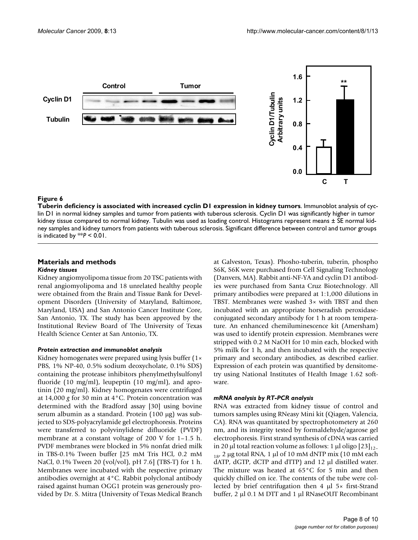

#### Tuberin deficiency is associated cyclin D1 expression in the cyclin D1 expression in the cyclin D1 expression in kidney tumors in kidney tumors in kidney tumors in kidney tumors in kidney tumors in kidney tumors in kidney

**Tuberin deficiency is associated with increased cyclin D1 expression in kidney tumors**. Immunoblot analysis of cyclin D1 in normal kidney samples and tumor from patients with tuberous sclerosis. Cyclin D1 was significantly higher in tumor kidney tissue compared to normal kidney. Tubulin was used as loading control. Histograms represent means ± SE normal kidney samples and kidney tumors from patients with tuberous sclerosis. Significant difference between control and tumor groups is indicated by  $**P < 0.01$ .

# **Materials and methods**

#### *Kidney tissues*

Kidney angiomyolipoma tissue from 20 TSC patients with renal angiomyolipoma and 18 unrelated healthy people were obtained from the Brain and Tissue Bank for Development Disorders (University of Maryland, Baltimore, Maryland, USA) and San Antonio Cancer Institute Core, San Antonio, TX. The study has been approved by the Institutional Review Board of The University of Texas Health Science Center at San Antonio, TX.

#### *Protein extraction and immunoblot analysis*

Kidney homogenates were prepared using lysis buffer (1× PBS, 1% NP-40, 0.5% sodium deoxycholate, 0.1% SDS) containing the protease inhibitors phenylmethylsulfonyl fluoride (10 mg/ml), leupeptin (10 mg/ml), and aprotinin (20 mg/ml). Kidney homogenates were centrifuged at 14,000 *g* for 30 min at 4°C. Protein concentration was determined with the Bradford assay [30] using bovine serum albumin as a standard. Protein (100 μg) was subjected to SDS-polyacrylamide gel electrophoresis. Proteins were transferred to polyvinylidene difluoride (PVDF) membrane at a constant voltage of 200 V for 1–1.5 h. PVDF membranes were blocked in 5% nonfat dried milk in TBS-0.1% Tween buffer [25 mM Tris HCl, 0.2 mM NaCl, 0.1% Tween 20 (vol/vol), pH 7.6] (TBS-T) for 1 h. Membranes were incubated with the respective primary antibodies overnight at 4°C. Rabbit polyclonal antibody raised against human OGG1 protein was generously provided by Dr. S. Mitra (University of Texas Medical Branch

at Galveston, Texas). Phosho-tuberin, tuberin, phospho S6K, S6K were purchased from Cell Signaling Technology (Danvers, MA). Rabbit anti-NF-YA and cyclin D1 antibodies were purchased from Santa Cruz Biotechnology. All primary antibodies were prepared at 1:1,000 dilutions in TBST. Membranes were washed 3× with TBST and then incubated with an appropriate horseradish peroxidaseconjugated secondary antibody for 1 h at room temperature. An enhanced chemiluminescence kit (Amersham) was used to identify protein expression. Membranes were stripped with 0.2 M NaOH for 10 min each, blocked with 5% milk for 1 h, and then incubated with the respective primary and secondary antibodies, as described earlier. Expression of each protein was quantified by densitometry using National Institutes of Health Image 1.62 software.

#### *mRNA analysis by RT-PCR analysis*

RNA was extracted from kidney tissue of control and tumors samples using RNeasy Mini kit (Qiagen, Valencia, CA). RNA was quantitated by spectrophotometery at 260 nm, and its integrity tested by formaldehyde/agarose gel electrophoresis. First strand synthesis of cDNA was carried in 20 μl total reaction volume as follows: 1 μl oligo  $[23]_{12}$  $_{18}$ , 2 μg total RNA, 1 μl of 10 mM dNTP mix (10 mM each dATP, dGTP, dCTP and dTTP) and 12 μl distilled water. The mixture was heated at 65°C for 5 min and then quickly chilled on ice. The contents of the tube were collected by brief centrifugation then 4 μl 5× first-Strand buffer, 2 μl 0.1 M DTT and 1 μl RNaseOUT Recombinant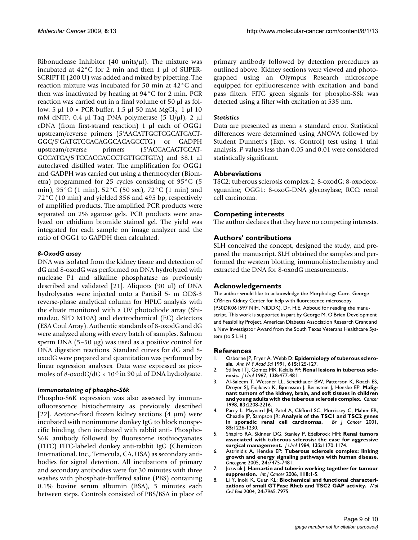Ribonuclease Inhibitor (40 units/μl). The mixture was incubated at 42°C for 2 min and then 1 μl of SUPER-SCRIPT II (200 U) was added and mixed by pipetting. The reaction mixture was incubated for 50 min at 42°C and then was inactivated by heating at 94°C for 2 min. PCR reaction was carried out in a final volume of 50 μl as follow: 5 μl 10 × PCR buffer, 1.5 μl 50 mM MgCl<sub>2</sub>, 1 μl 10 mM dNTP, 0.4 μl Taq DNA polymerase (5 U/μl), 2 μl cDNA (from first-strand reaction) 1 μl each of OGG1 upstream/reverse primers (5'AACATTGCTCGCATCACT-GGC/5'GATGTCCACAGGCACAGCCTG) or GADPH upstream/reverse primers (5'ACCACAGTCCAT-GCCATCA/5'TCCACCACCCTGTTGCTGTA) and 38.1 μl autoclaved distilled water. The amplification for OGG1 and GADPH was carried out using a thermocycler (Biometra) programmed for 25 cycles consisting of 95°C (5 min), 95°C (1 min), 52°C (50 sec), 72°C (1 min) and 72°C (10 min) and yielded 356 and 495 bp, respectively of amplified products. The amplified PCR products were separated on 2% agarose gels. PCR products were analyzed on ethidium bromide stained gel. The yield was integrated for each sample on image analyzer and the ratio of OGG1 to GAPDH then calculated.

# *8-OxodG assay*

DNA was isolated from the kidney tissue and detection of dG and 8-oxodG was performed on DNA hydrolyzed with nuclease P1 and alkaline phosphatase as previously described and validated [21]. Aliquots (90 μl) of DNA hydrolysates were injected onto a Partisil 5- m ODS-3 reverse-phase analytical column for HPLC analysis with the eluate monitored with a UV photodiode array (Shimadzo, SPD M10A) and electrochemical (EC) detectors (ESA Coul Array). Authentic standards of 8-oxodG and dG were analyzed along with every batch of samples. Salmon sperm DNA (5–50 μg) was used as a positive control for DNA digestion reactions. Standard curves for dG and 8 oxodG were prepared and quantitation was performed by linear regression analyses. Data were expressed as picomoles of 8-oxodG/dG  $\times$  10<sup>-5</sup> in 90 µl of DNA hydrolysate.

# *Immunostaining of phospho-S6k*

Phospho-S6K expression was also assessed by immunofluorescence histochemistry as previously described [22]. Acetone-fixed frozen kidney sections  $(4 \mu m)$  were incubated with nonimmune donkey IgG to block nonspecific binding, then incubated with rabbit anti- Phospho-S6K antibody followed by fluorescene isothiocyanates (FITC) FITC-labeled donkey anti-rabbit IgG (Chemicon International, Inc., Temecula, CA, USA) as secondary antibodies for signal detection. All incubations of primary and secondary antibodies were for 30 minutes with three washes with phosphate-buffered saline (PBS) containing 0.1% bovine serum albumin (BSA), 5 minutes each between steps. Controls consisted of PBS/BSA in place of primary antibody followed by detection procedures as outlined above. Kidney sections were viewed and photographed using an Olympus Research microscope equipped for epifluorescence with excitation and band pass filters. FITC green signals for phospho-S6k was detected using a filter with excitation at 535 nm.

# *Statistics*

Data are presented as mean ± standard error. Statistical differences were determined using ANOVA followed by Student Dunnett's (Exp. vs. Control) test using 1 trial analysis. *P-*values less than 0.05 and 0.01 were considered statistically significant.

## **Abbreviations**

TSC2: tuberous sclerosis complex-2; 8-oxodG: 8-oxodeoxyguanine; OGG1: 8-oxoG-DNA glycosylase; RCC: renal cell carcinoma.

## **Competing interests**

The author declares that they have no competing interests.

# **Authors' contributions**

SLH conceived the concept, designed the study, and prepared the manuscript. SLH obtained the samples and performed the western blotting, immunohistochemistry and extracted the DNA for 8-oxodG measurements.

# **Acknowledgements**

The author would like to acknowledge the Morphology Core, George O'Brien Kidney Center for help with fluorescence microscopy (P50DK061597 NIH, NIDDK). Dr. H.E. Abboud for reading the manuscript. This work is supported in part by George M. O'Brien Development and Feasibility Project, American Diabetes Association Research Grant and a New Investigator Award from the South Texas Veterans Healthcare System (to S.L.H.).

#### **References**

- 1. Osborne JP, Fryer A, Webb D: **[Epidemiology of tuberous sclero](http://www.ncbi.nlm.nih.gov/entrez/query.fcgi?cmd=Retrieve&db=PubMed&dopt=Abstract&list_uids=2039137)[sis.](http://www.ncbi.nlm.nih.gov/entrez/query.fcgi?cmd=Retrieve&db=PubMed&dopt=Abstract&list_uids=2039137)** *Ann N Y Acad Sci* 1991, **615:**125-127.
- 2. Stillwell TJ, Gomez MR, Kelalis PP: **[Renal lesions in tuberous scle](http://www.ncbi.nlm.nih.gov/entrez/query.fcgi?cmd=Retrieve&db=PubMed&dopt=Abstract&list_uids=3625844)[rosis.](http://www.ncbi.nlm.nih.gov/entrez/query.fcgi?cmd=Retrieve&db=PubMed&dopt=Abstract&list_uids=3625844)** *J Urol* 1987, **138:**477-481.
- 3. Al-Saleem T, Wessner LL, Scheithauer BW, Patterson K, Roach ES, Dreyer SJ, Fujikawa K, Bjornsson J, Bernstein J, Henske EP: **[Malig](http://www.ncbi.nlm.nih.gov/entrez/query.fcgi?cmd=Retrieve&db=PubMed&dopt=Abstract&list_uids=9827727)[nant tumors of the kidney, brain, and soft tissues in children](http://www.ncbi.nlm.nih.gov/entrez/query.fcgi?cmd=Retrieve&db=PubMed&dopt=Abstract&list_uids=9827727) [and young adults with the tuberous sclerosis complex.](http://www.ncbi.nlm.nih.gov/entrez/query.fcgi?cmd=Retrieve&db=PubMed&dopt=Abstract&list_uids=9827727)** *Cancer* 1998, **83:**2208-2216.
- 4. Parry L, Maynard JH, Patel A, Clifford SC, Morrissey C, Maher ER, Cheadle JP, Sampson JR: **[Analysis of the TSC1 and TSC2 genes](http://www.ncbi.nlm.nih.gov/entrez/query.fcgi?cmd=Retrieve&db=PubMed&dopt=Abstract&list_uids=11710839)**<br>in sporadic renal cell carcinomas. Br J Cancer 2001, [in sporadic renal cell carcinomas.](http://www.ncbi.nlm.nih.gov/entrez/query.fcgi?cmd=Retrieve&db=PubMed&dopt=Abstract&list_uids=11710839) **85:**1226-1230.
- 5. Shapiro RA, Skinner DG, Stanley P, Edelbrock HH: **[Renal tumors](http://www.ncbi.nlm.nih.gov/entrez/query.fcgi?cmd=Retrieve&db=PubMed&dopt=Abstract&list_uids=6502814) [associated with tuberous sclerosis: the case for aggressive](http://www.ncbi.nlm.nih.gov/entrez/query.fcgi?cmd=Retrieve&db=PubMed&dopt=Abstract&list_uids=6502814) [surgical management.](http://www.ncbi.nlm.nih.gov/entrez/query.fcgi?cmd=Retrieve&db=PubMed&dopt=Abstract&list_uids=6502814)** *J Urol* 1984, **132:**1170-1174.
- 6. Astrinidis A, Henske EP: **[Tuberous sclerosis complex: linking](http://www.ncbi.nlm.nih.gov/entrez/query.fcgi?cmd=Retrieve&db=PubMed&dopt=Abstract&list_uids=16288294) [growth and energy signaling pathways with human disease.](http://www.ncbi.nlm.nih.gov/entrez/query.fcgi?cmd=Retrieve&db=PubMed&dopt=Abstract&list_uids=16288294)** *Oncogene* 2005, **24:**7475-7481.
- 7. Jozwiak J: **[Hamartin and tuberin working together for tumour](http://www.ncbi.nlm.nih.gov/entrez/query.fcgi?cmd=Retrieve&db=PubMed&dopt=Abstract&list_uids=16206276) [suppression.](http://www.ncbi.nlm.nih.gov/entrez/query.fcgi?cmd=Retrieve&db=PubMed&dopt=Abstract&list_uids=16206276)** *Int J Cancer* 2006, **118:**1-5.
- 8. Li Y, Inoki K, Guan KL: **[Biochemical and functional characteri](http://www.ncbi.nlm.nih.gov/entrez/query.fcgi?cmd=Retrieve&db=PubMed&dopt=Abstract&list_uids=15340059)[zations of small GTPase Rheb and TSC2 GAP activity.](http://www.ncbi.nlm.nih.gov/entrez/query.fcgi?cmd=Retrieve&db=PubMed&dopt=Abstract&list_uids=15340059)** *Mol Cell Biol* 2004, **24:**7965-7975.